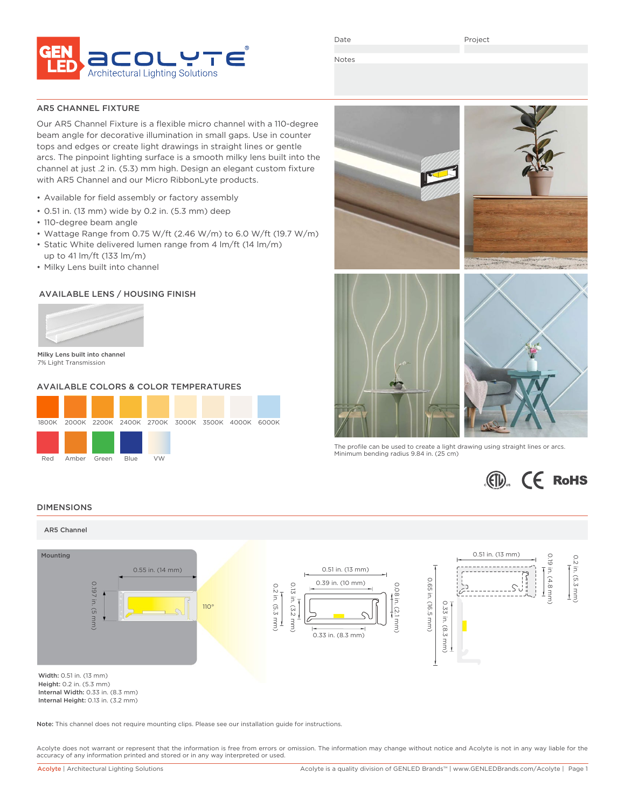

Date

Project

Notes

## AR5 CHANNEL FIXTURE

Our AR5 Channel Fixture is a flexible micro channel with a 110-degree beam angle for decorative illumination in small gaps. Use in counter tops and edges or create light drawings in straight lines or gentle arcs. The pinpoint lighting surface is a smooth milky lens built into the channel at just .2 in. (5.3) mm high. Design an elegant custom fixture with AR5 Channel and our Micro RibbonLyte products.

- Available for field assembly or factory assembly
- 0.51 in. (13 mm) wide by 0.2 in. (5.3 mm) deep
- 110-degree beam angle
- Wattage Range from 0.75 W/ft (2.46 W/m) to 6.0 W/ft (19.7 W/m)
- Static White delivered lumen range from 4 lm/ft (14 lm/m) up to 41 lm/ft (133 lm/m)
- 
- Milky Lens built into channel

# AVAILABLE LENS / HOUSING FINISH



Milky Lens built into channel 7% Light Transmission

# AVAILABLE COLORS & COLOR TEMPERATURES





The profile can be used to create a light drawing using straight lines or arcs. Minimum bending radius 9.84 in. (25 cm)



### DIMENSIONS



Internal Width: 0.33 in. (8.3 mm) Internal Height: 0.13 in. (3.2 mm)

Note: This channel does not require mounting clips. Please see our installation guide for instructions.

Acolyte does not warrant or represent that the information is free from errors or omission. The information may change without notice and Acolyte is not in any way liable for the accuracy of any information printed and stored or in any way interpreted or used.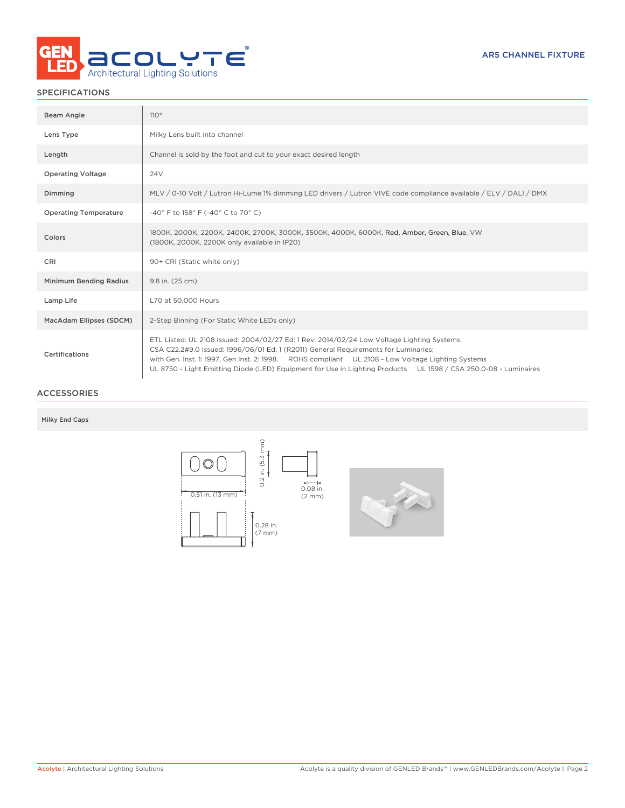

# SPECIFICATIONS

| Beam Angle                   | 110°                                                                                                                                                                                                                                                                                                                                                                                                     |
|------------------------------|----------------------------------------------------------------------------------------------------------------------------------------------------------------------------------------------------------------------------------------------------------------------------------------------------------------------------------------------------------------------------------------------------------|
| Lens Type                    | Milky Lens built into channel                                                                                                                                                                                                                                                                                                                                                                            |
| Length                       | Channel is sold by the foot and cut to your exact desired length                                                                                                                                                                                                                                                                                                                                         |
| <b>Operating Voltage</b>     | <b>24V</b>                                                                                                                                                                                                                                                                                                                                                                                               |
| Dimming                      | MLV / 0-10 Volt / Lutron Hi-Lume 1% dimming LED drivers / Lutron VIVE code compliance available / ELV / DALI / DMX                                                                                                                                                                                                                                                                                       |
| <b>Operating Temperature</b> | -40° F to 158° F (-40° C to 70° C)                                                                                                                                                                                                                                                                                                                                                                       |
| Colors                       | 1800K, 2000K, 2200K, 2400K, 2700K, 3000K, 3500K, 4000K, 6000K, Red, Amber, Green, Blue, VW<br>(1800K, 2000K, 2200K only available in IP20)                                                                                                                                                                                                                                                               |
| <b>CRI</b>                   | 90+ CRI (Static white only)                                                                                                                                                                                                                                                                                                                                                                              |
| Minimum Bending Radius       | 9.8 in. (25 cm)                                                                                                                                                                                                                                                                                                                                                                                          |
| Lamp Life                    | L70 at 50,000 Hours                                                                                                                                                                                                                                                                                                                                                                                      |
| MacAdam Ellipses (SDCM)      | 2-Step Binning (For Static White LEDs only)                                                                                                                                                                                                                                                                                                                                                              |
| Certifications               | ETL Listed: UL 2108 Issued: 2004/02/27 Ed: 1 Rev: 2014/02/24 Low Voltage Lighting Systems<br>CSA C22.2#9.0 Issued: 1996/06/01 Ed: 1 (R2011) General Requirements for Luminaries;<br>with Gen. Inst. 1: 1997, Gen Inst. 2: 1998. ROHS compliant UL 2108 - Low Voltage Lighting Systems<br>UL 8750 - Light Emitting Diode (LED) Equipment for Use in Lighting Products UL 1598 / CSA 250.0-08 - Luminaires |

# ACCESSORIES

## Milky End Caps

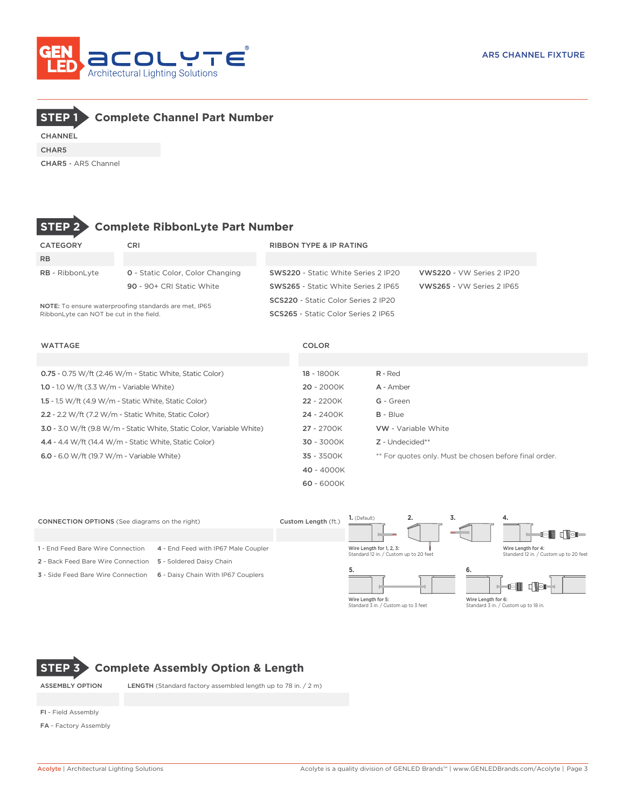



CHANNEL CHAR5

CHAR5 - AR5 Channel



# **STEP 2 Complete RibbonLyte Part Number**

| CATEGORY                                                                                         | CRI                                     | <b>RIBBON TYPE &amp; IP RATING</b>         |                           |  |  |  |  |  |  |
|--------------------------------------------------------------------------------------------------|-----------------------------------------|--------------------------------------------|---------------------------|--|--|--|--|--|--|
| <b>RB</b>                                                                                        |                                         |                                            |                           |  |  |  |  |  |  |
| <b>RB</b> - RibbonLyte                                                                           | <b>0</b> - Static Color, Color Changing | <b>SWS220 - Static White Series 2 IP20</b> | VWS220 - VW Series 2 IP20 |  |  |  |  |  |  |
|                                                                                                  | 90 - 90+ CRI Static White               | <b>SWS265 - Static White Series 2 IP65</b> | VWS265 - VW Series 2 IP65 |  |  |  |  |  |  |
|                                                                                                  |                                         | SCS220 - Static Color Series 2 IP20        |                           |  |  |  |  |  |  |
| NOTE: To ensure waterproofing standards are met, IP65<br>RibbonLyte can NOT be cut in the field. |                                         | SCS265 - Static Color Series 2 IP65        |                           |  |  |  |  |  |  |

WATTAGE COLOR

| 0.75 - 0.75 W/ft (2.46 W/m - Static White, Static Color)              | 18 - 1800K   | $R - Red$                                              |
|-----------------------------------------------------------------------|--------------|--------------------------------------------------------|
| 1.0 - 1.0 W/ft $(3.3 W/m - \text{Variable White})$                    | $20 - 2000K$ | A - Amber                                              |
| 1.5 - 1.5 W/ft (4.9 W/m - Static White, Static Color)                 | $22 - 2200K$ | G - Green                                              |
| 2.2 - 2.2 W/ft (7.2 W/m - Static White, Static Color)                 | $24 - 2400K$ | $B - Blue$                                             |
| 3.0 - 3.0 W/ft (9.8 W/m - Static White, Static Color, Variable White) | 27 - 2700K   | VW - Variable White                                    |
| 4.4 - 4.4 W/ft (14.4 W/m - Static White, Static Color)                | $30 - 3000K$ | $Z$ - Undecided**                                      |
| 6.0 - 6.0 W/ft (19.7 W/m - Variable White)                            | $35 - 3500K$ | ** For quotes only. Must be chosen before final order. |
|                                                                       | $40 - 4000K$ |                                                        |
|                                                                       | $60 - 6000K$ |                                                        |



Wire Length for 5: Standard 3 in. / Custom up to 3 feet

Wire Length for 6: Standard 3 in. / Custom up to 18 in.

# **STEP 3 Complete Assembly Option & Length**

ASSEMBLY OPTION LENGTH (Standard factory assembled length up to 78 in. / 2 m)

FI - Field Assembly

FA - Factory Assembly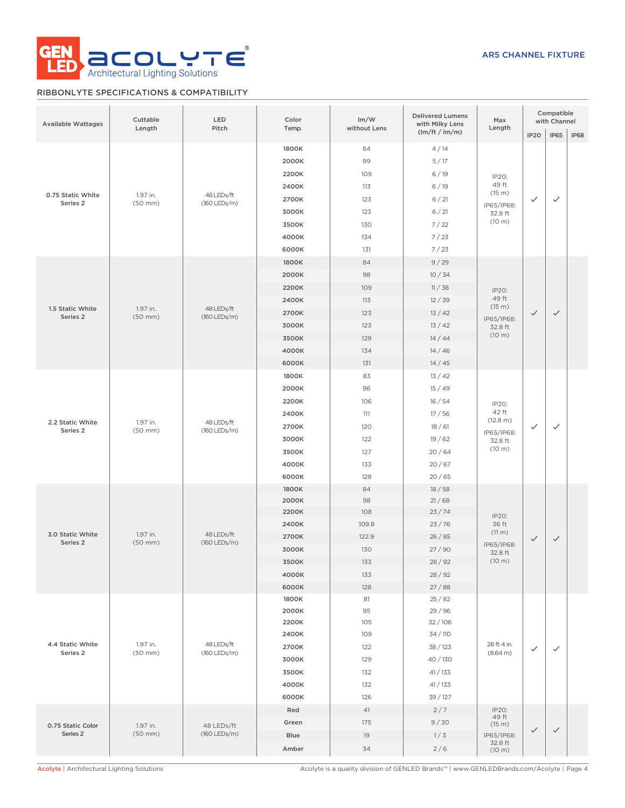

# RIBBONLYTE SPECIFICATIONS & COMPATIBILITY

| <b>Available Wattages</b>     | Cuttable<br>Length       | LED<br>Pitch               | Color<br>Temp.                    | Im/W<br>without Lens | <b>Delivered Lumens</b><br>with Milky Lens | Max<br>Length                   | Compatible<br>with Channel |              |              |  |  |
|-------------------------------|--------------------------|----------------------------|-----------------------------------|----------------------|--------------------------------------------|---------------------------------|----------------------------|--------------|--------------|--|--|
|                               |                          |                            |                                   |                      | $\frac{1}{\pi}$ (lm/ft / lm/m)             |                                 | <b>IP20</b>                | <b>IP65</b>  | <b>IP68</b>  |  |  |
|                               |                          |                            | 1800K                             | 84                   | 4/14                                       |                                 |                            |              |              |  |  |
|                               |                          |                            | 2000K                             | 99                   | 5/17                                       |                                 |                            |              |              |  |  |
|                               |                          |                            | 2200K                             | 109                  | 6/19                                       | IP20:                           |                            |              |              |  |  |
|                               |                          |                            | 2400K<br>6/19<br>113              |                      |                                            | 49 ft<br>(15 m)                 |                            |              |              |  |  |
| 0.75 Static White<br>Series 2 | 1.97 in.<br>$(50$ mm $)$ | 48 LEDs/ft<br>(160 LEDs/m) | 2700K                             | 123                  | 6/21                                       | IP65/IP68:                      | $\checkmark$               | ✓            |              |  |  |
|                               |                          |                            | 3000K                             | 123                  | 6/21                                       | 32.8 ft                         |                            |              |              |  |  |
|                               |                          |                            | 3500K                             | 130                  | 7/22                                       | (10 m)                          |                            |              |              |  |  |
|                               |                          |                            | 4000K                             | 134                  | 7/23                                       |                                 |                            |              |              |  |  |
|                               |                          |                            | 6000K                             | 131                  | 7/23                                       |                                 |                            |              |              |  |  |
|                               |                          |                            | 1800K                             | 84                   | 9/29                                       |                                 |                            |              |              |  |  |
|                               |                          |                            | 2000K                             | 98                   | 10/34                                      |                                 |                            |              |              |  |  |
|                               |                          |                            | 2200K                             | 109                  | 11/38                                      | IP20:                           |                            |              |              |  |  |
|                               |                          |                            | 2400K                             | 113                  | 12/39                                      | 49 ft                           |                            |              |              |  |  |
| 1.5 Static White<br>Series 2  | 1.97 in.<br>$(50$ mm $)$ | 48 LEDs/ft<br>(160 LEDs/m) | 2700K                             | 123                  | 13/42                                      | (15 m)                          | $\checkmark$               | $\checkmark$ |              |  |  |
|                               |                          |                            | 3000K                             | 123                  | 13/42                                      | IP65/IP68:<br>32.8 ft           |                            |              |              |  |  |
|                               |                          |                            | 3500K                             | 129                  | 14/44                                      | (10 m)                          |                            |              |              |  |  |
|                               |                          |                            | 4000K                             | 134                  | 14/46                                      |                                 |                            |              |              |  |  |
|                               |                          |                            | 6000K                             | 131                  | 14/45                                      |                                 |                            |              |              |  |  |
|                               | 1.97 in.<br>$(50$ mm $)$ |                            | 1800K                             | 83                   | 13/42                                      |                                 |                            |              |              |  |  |
|                               |                          | 48 LEDs/ft<br>(160 LEDs/m) | 2000K                             | 96                   | 15/49                                      |                                 |                            |              |              |  |  |
|                               |                          |                            |                                   |                      |                                            | 2200K                           | 106                        | 16/54        | IP20:        |  |  |
|                               |                          |                            | 2400K                             | 111                  | 17/56                                      | 42 ft                           |                            |              |              |  |  |
| 2.2 Static White              |                          |                            |                                   | 2700K                | 120                                        | 18/61                           | (12.8 m)                   | $\checkmark$ | $\checkmark$ |  |  |
| Series 2                      |                          |                            | 3000K                             | 122                  | 19/62                                      | IP65/IP68:<br>32.8 ft<br>(10 m) |                            |              |              |  |  |
|                               |                          |                            | 3500K                             | 127                  | 20/64                                      |                                 |                            |              |              |  |  |
|                               |                          |                            | 4000K                             | 133                  | 20/67                                      |                                 |                            |              |              |  |  |
|                               |                          |                            | 6000K                             | 128                  | 20/65                                      |                                 |                            |              |              |  |  |
|                               |                          |                            | 1800K                             | 84                   | 18/58                                      |                                 |                            |              |              |  |  |
|                               |                          |                            | 2000K                             | 98                   | 21/68                                      |                                 |                            |              |              |  |  |
|                               |                          |                            | 2200K                             | 108                  | 23/74                                      | IP20:                           |                            |              |              |  |  |
|                               | 1.97 in.                 |                            | 2400K                             | 109.8                | 23/76                                      | 36 ft                           |                            |              |              |  |  |
| 3.0 Static White              |                          | 48 LEDs/ft                 | 2700K                             | 122.9                | 26/85                                      | (11 m)                          | $\checkmark$               | $\checkmark$ |              |  |  |
| Series 2                      | $(50$ mm $)$             | (160 LEDs/m)               | 3000K                             | 130                  | 27/90                                      | IP65/IP68:<br>32.8 ft           |                            |              |              |  |  |
|                               |                          |                            | (10 m)<br>3500K<br>28 / 92<br>133 |                      |                                            |                                 |                            |              |              |  |  |
|                               |                          |                            | 4000K                             | 133                  | 28 / 92                                    |                                 |                            |              |              |  |  |
|                               |                          |                            | 6000K                             | 128                  | 27/88                                      |                                 |                            |              |              |  |  |
|                               |                          |                            | 1800K                             | 81                   | 25/82                                      |                                 |                            |              |              |  |  |
|                               |                          |                            | 2000K                             | 95                   | 29 / 96                                    |                                 |                            |              |              |  |  |
|                               |                          |                            | 2200K                             | 105                  | 32/106                                     |                                 |                            |              |              |  |  |
|                               |                          |                            | 2400K                             | 109                  | 34 / 110                                   |                                 |                            |              |              |  |  |
| 4.4 Static White<br>Series 2  | 1.97 in.<br>$(50$ mm $)$ | 48 LEDs/ft<br>(160 LEDs/m) | 2700K                             | 122                  | 38 / 123                                   | 28 ft 4 in.<br>(8.64 m)         | $\checkmark$               | $\checkmark$ |              |  |  |
|                               |                          |                            | 3000K                             | 129                  | 40/130                                     |                                 |                            |              |              |  |  |
|                               |                          |                            | 3500K                             | 132                  | 41/133                                     |                                 |                            |              |              |  |  |
|                               |                          |                            | 4000K                             | 132                  | 41/133                                     |                                 |                            |              |              |  |  |
|                               |                          |                            | 6000K                             | 126                  | 39 / 127                                   |                                 |                            |              |              |  |  |
|                               |                          |                            | Red                               | 41                   | 2/7                                        | IP20:                           |                            |              |              |  |  |
| 0.75 Static Color             | 1.97 in.<br>$(50$ mm $)$ | 48 LEDs/ft                 | Green                             | 175                  | 9/30                                       | 49 ft<br>(15 m)                 |                            |              |              |  |  |
| Series 2                      |                          | (160 LEDs/m)               | Blue                              | 19                   | 1/3                                        | IP65/IP68:                      | $\checkmark$               | $\checkmark$ |              |  |  |
|                               |                          |                            | Amber                             | 34                   | 2/6                                        | 32.8 ft<br>(10 m)               |                            |              |              |  |  |
|                               |                          |                            |                                   |                      |                                            |                                 |                            |              |              |  |  |

Acolyte | Architectural Lighting Solutions Acolyte is a quality division of GENLED Brands™ | www.GENLEDBrands.com/Acolyte | Page 4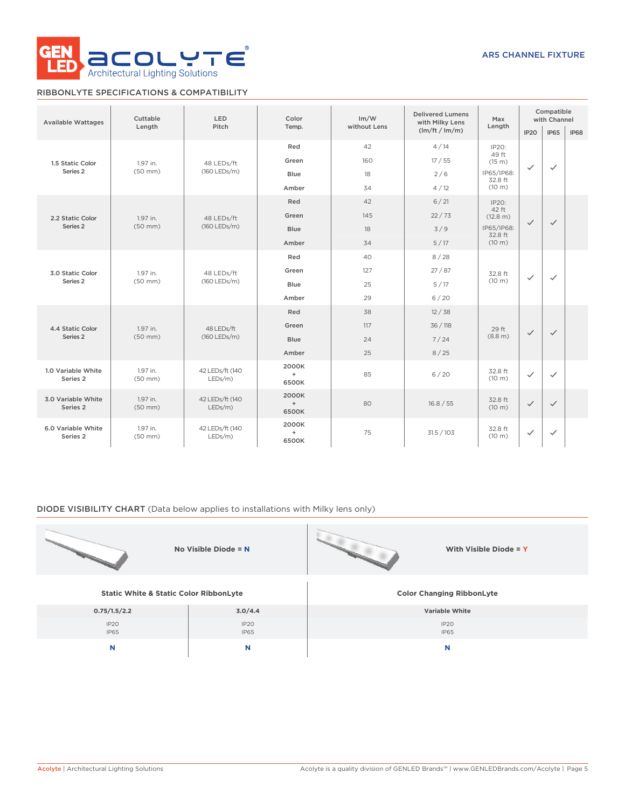

# RIBBONLYTE SPECIFICATIONS & COMPATIBILITY

| <b>Available Wattages</b>      | Cuttable                 | <b>LED</b><br>Pitch           | Color                 | Im/W         | <b>Delivered Lumens</b><br>with Milky Lens | Max<br>Length               | Compatible<br>with Channel |              |              |
|--------------------------------|--------------------------|-------------------------------|-----------------------|--------------|--------------------------------------------|-----------------------------|----------------------------|--------------|--------------|
|                                | Length                   |                               | Temp.                 | without Lens | (lm/ft / lm/m)                             |                             | IP <sub>20</sub>           | <b>IP65</b>  | <b>IP68</b>  |
|                                |                          |                               | Red                   | 42           | 4/14                                       | IP20:<br>49 ft              |                            |              |              |
| 1.5 Static Color               | 1.97 in.                 | 48 LEDs/ft                    | Green                 | 160          | 17/55                                      | (15 m)                      | $\checkmark$               | $\checkmark$ |              |
| Series <sub>2</sub>            | $(50$ mm $)$             | (160 LEDs/m)                  | Blue                  | 18           | 2/6                                        | IP65/IP68:<br>32.8 ft       |                            |              |              |
|                                |                          |                               | Amber                 | 34           | 4/12                                       | (10 m)                      |                            |              |              |
|                                |                          |                               | Red                   | 42           | 6/21                                       | IP2O:<br>42 ft              | $\checkmark$               |              |              |
| 2.2 Static Color               | 1.97 in.                 | 48 LEDs/ft                    | Green                 | 145          | 22/73                                      | (12.8 m)                    |                            | $\checkmark$ |              |
| Series 2                       | $(50$ mm $)$             | (160 LEDs/m)                  | <b>Blue</b>           | 18           | 3/9                                        | IP65/IP68:<br>32.8 ft       |                            |              |              |
|                                |                          |                               | Amber                 | 34           | 5/17                                       | (10 m)                      |                            |              |              |
| 3.0 Static Color               | 1.97 in.<br>$(50$ mm $)$ | 48 LEDs/ft<br>(160 LEDs/m)    | Red                   | 40           | 8/28                                       |                             |                            |              |              |
|                                |                          |                               |                       | Green        | 127                                        | 27/87                       | 32.8 ft                    | $\checkmark$ | $\checkmark$ |
| Series <sub>2</sub>            |                          |                               | Blue                  | 25           | (10 m)<br>5/17                             |                             |                            |              |              |
|                                |                          |                               | Amber                 | 29           | 6/20                                       |                             |                            |              |              |
|                                |                          | 48 LEDs/ft<br>(160 LEDs/m)    | Red                   | 38           | 12/38                                      |                             | $\checkmark$               |              |              |
| 4.4 Static Color               | 1.97 in.                 |                               | Green                 | 117          | 36 / 118                                   | 29 ft                       |                            | $\checkmark$ |              |
| Series <sub>2</sub>            | $(50$ mm $)$             |                               | Blue<br>24            |              | 7/24                                       | $(8.8 \text{ m})$           |                            |              |              |
|                                |                          |                               | Amber                 | 25           | 8/25                                       |                             |                            |              |              |
| 1.0 Variable White<br>Series 2 | 1.97 in.<br>$(50$ mm $)$ | 42 LEDs/ft (140<br>LEDs/m)    | 2000K<br>$+$<br>6500K | 85           | 6/20                                       | 32.8 ft<br>$(10 \text{ m})$ | $\checkmark$               | $\checkmark$ |              |
| 3.0 Variable White<br>Series 2 | 1.97 in.<br>$(50$ mm $)$ | 42 LEDs/ft (140<br>LEDs/m     | 2000K<br>$+$<br>6500K | 80           | 16.8 / 55                                  | 32.8 ft<br>(10 m)           | $\checkmark$               | $\checkmark$ |              |
| 6.0 Variable White<br>Series 2 | 1.97 in.<br>$(50$ mm $)$ | 42 LEDs/ft (140<br>$LEDs/m$ ) | 2000K<br>$+$<br>6500K | 75           | 31.5 / 103                                 | 32.8 ft<br>(10 m)           | $\checkmark$               | $\checkmark$ |              |

## DIODE VISIBILITY CHART (Data below applies to installations with Milky lens only)

|                                                   | No Visible Diode = N | With Visible Diode = $Y$         |
|---------------------------------------------------|----------------------|----------------------------------|
| <b>Static White &amp; Static Color RibbonLyte</b> |                      | <b>Color Changing RibbonLyte</b> |
| 0.75/1.5/2.2                                      | 3.0/4.4              | Variable White                   |
| IP <sub>20</sub><br>IP65                          | IP20<br><b>IP65</b>  | IP <sub>20</sub><br><b>IP65</b>  |
| N                                                 | N                    | N                                |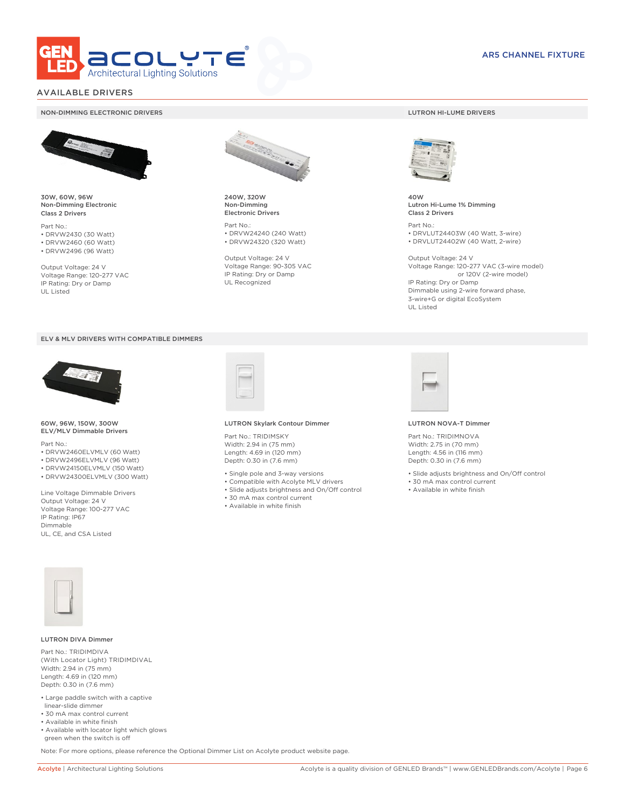

# AVAILABLE DRIVERS

### NON-DIMMING ELECTRONIC DRIVERS LUTRON HI-LUME DRIVERS



30W, 60W, 96W Non-Dimming Electronic Class 2 Drivers

Part No.: • DRVW2430 (30 Watt) • DRVW2460 (60 Watt)

• DRVW2496 (96 Watt)

Output Voltage: 24 V Voltage Range: 120-277 VAC IP Rating: Dry or Damp UL Listed





60W, 96W, 150W, 300W ELV/MLV Dimmable Drivers

Part No.:

- DRVW2460ELVMLV (60 Watt)
- DRVW2496ELVMLV (96 Watt) • DRVW24150ELVMLV (150 Watt)
- DRVW24300ELVMLV (300 Watt)
- 

Line Voltage Dimmable Drivers Output Voltage: 24 V Voltage Range: 100-277 VAC IP Rating: IP67 Dimmable UL, CE, and CSA Listed



240W, 320W Non-Dimming Electronic Drivers

Part No.: • DRVW24240 (240 Watt) • DRVW24320 (320 Watt)

Output Voltage: 24 V Voltage Range: 90-305 VAC IP Rating: Dry or Damp UL Recognized



40W Lutron Hi-Lume 1% Dimming Class 2 Drivers

Part No.: • DRVLUT24403W (40 Watt, 3-wire) • DRVLUT24402W (40 Watt, 2-wire)

Output Voltage: 24 V Voltage Range: 120-277 VAC (3-wire model) or 120V (2-wire model) IP Rating: Dry or Damp Dimmable using 2-wire forward phase, 3-wire+G or digital EcoSystem UL Listed



#### LUTRON Skylark Contour Dimmer

Part No.: TRIDIMSKY Width: 2.94 in (75 mm) Length: 4.69 in (120 mm) Depth: 0.30 in (7.6 mm)

- Single pole and 3-way versions
- Compatible with Acolyte MLV drivers
- Slide adjusts brightness and On/Off control
- 30 mA max control current
- Available in white finish



#### LUTRON NOVA-T Dimmer

Part No.: TRIDIMNOVA Width: 2.75 in (70 mm) Length: 4.56 in (116 mm) Depth: 0.30 in (7.6 mm)

- Slide adjusts brightness and On/Off control
- 30 mA max control current
- Available in white finish



### LUTRON DIVA Dimmer

Part No.: TRIDIMDIVA (With Locator Light) TRIDIMDIVAL Width: 2.94 in (75 mm) Length: 4.69 in (120 mm) Depth: 0.30 in (7.6 mm)

- Large paddle switch with a captive linear-slide dimmer
- 30 mA max control current
- Available in white finish
- Available with locator light which glows green when the switch is off

Note: For more options, please reference the Optional Dimmer List on Acolyte product website page.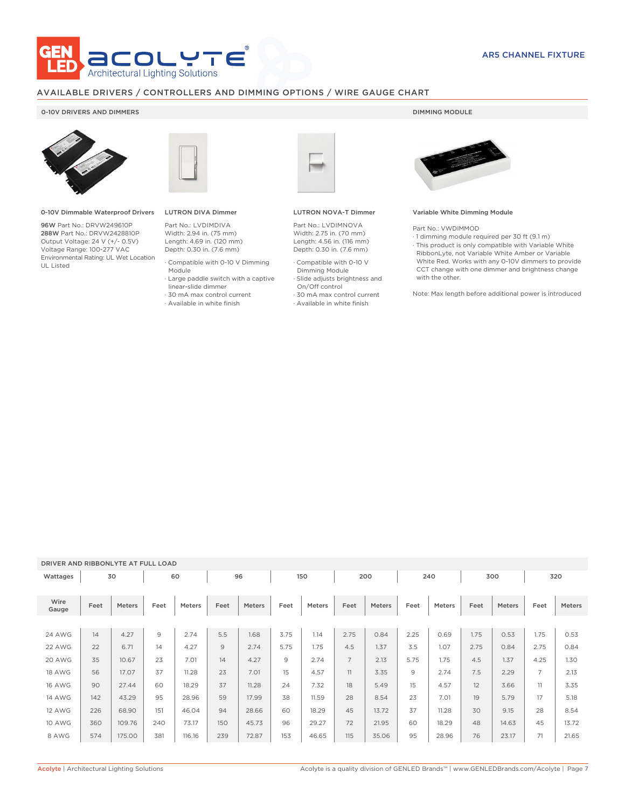

# AVAILABLE DRIVERS / CONTROLLERS AND DIMMING OPTIONS / WIRE GAUGE CHART

## 0-10V DRIVERS AND DIMMERS **DIMMING MODULE**



0-10V Dimmable Waterproof Drivers

96W Part No.: DRVW249610P 288W Part No.: DRVW2428810P Output Voltage: 24 V (+/- 0.5V) Voltage Range: 100-277 VAC Environmental Rating: UL Wet Location UL Listed



# LUTRON DIVA Dimmer

Part No.: LVDIMDIVA Width: 2.94 in. (75 mm) Length: 4.69 in. (120 mm) Depth: 0.30 in. (7.6 mm)

- · Compatible with 0-10 V Dimming
- Module · Large paddle switch with a captive
- linear-slide dimmer
- · 30 mA max control current
- · Available in white finish



## LUTRON NOVA-T Dimmer

Part No.: LVDIMNOVA Width: 2.75 in. (70 mm) Length: 4.56 in. (116 mm) Depth: 0.30 in. (7.6 mm)

- · Compatible with 0-10 V Dimming Module
- · Slide adjusts brightness and
- On/Off control
- · 30 mA max control current
- · Available in white finish



### Variable White Dimming Module

Part No.: VWDIMMOD

· 1 dimming module required per 30 ft (9.1 m) · This product is only compatible with Variable White RibbonLyte, not Variable White Amber or Variable White Red. Works with any 0-10V dimmers to provide CCT change with one dimmer and brightness change with the other.

Note: Max length before additional power is introduced

### DRIVER AND RIBBONLYTE AT FULL LOAD

| Wattages      |      | 30     |      | 60            |      | 96     |      | 150           |                | 200    |      | 240    |      | 300           |                | 320    |
|---------------|------|--------|------|---------------|------|--------|------|---------------|----------------|--------|------|--------|------|---------------|----------------|--------|
| Wire<br>Gauge | Feet | Meters | Feet | <b>Meters</b> | Feet | Meters | Feet | <b>Meters</b> | Feet           | Meters | Feet | Meters | Feet | <b>Meters</b> | Feet           | Meters |
|               |      |        |      |               |      |        |      |               |                |        |      |        |      |               |                |        |
| <b>24 AWG</b> | 14   | 4.27   | 9    | 2.74          | 5.5  | 1.68   | 3.75 | 1.14          | 2.75           | 0.84   | 2.25 | 0.69   | 1.75 | 0.53          | 1.75           | 0.53   |
| 22 AWG        | 22   | 6.71   | 14   | 4.27          | 9    | 2.74   | 5.75 | 1.75          | 4.5            | 1.37   | 3.5  | 1.07   | 2.75 | 0.84          | 2.75           | 0.84   |
| 20 AWG        | 35   | 10.67  | 23   | 7.01          | 14   | 4.27   | 9    | 2.74          | $\overline{7}$ | 2.13   | 5.75 | 1.75   | 4.5  | 1.37          | 4.25           | 1.30   |
| <b>18 AWG</b> | 56   | 17.07  | 37   | 11.28         | 23   | 7.01   | 15   | 4.57          | 11             | 3.35   | 9    | 2.74   | 7.5  | 2.29          | $\overline{7}$ | 2.13   |
| <b>16 AWG</b> | 90   | 27.44  | 60   | 18.29         | 37   | 11.28  | 24   | 7.32          | 18             | 5.49   | 15   | 4.57   | 12   | 3.66          | 11             | 3.35   |
| <b>14 AWG</b> | 142  | 43.29  | 95   | 28.96         | 59   | 17.99  | 38   | 11.59         | 28             | 8.54   | 23   | 7.01   | 19   | 5.79          | 17             | 5.18   |
| 12 AWG        | 226  | 68.90  | 151  | 46.04         | 94   | 28.66  | 60   | 18.29         | 45             | 13.72  | 37   | 11.28  | 30   | 9.15          | 28             | 8.54   |
| <b>10 AWG</b> | 360  | 109.76 | 240  | 73.17         | 150  | 45.73  | 96   | 29.27         | 72             | 21.95  | 60   | 18.29  | 48   | 14.63         | 45             | 13.72  |
| 8 AWG         | 574  | 175.00 | 381  | 116.16        | 239  | 72.87  | 153  | 46.65         | 115            | 35.06  | 95   | 28.96  | 76   | 23.17         | 71             | 21.65  |